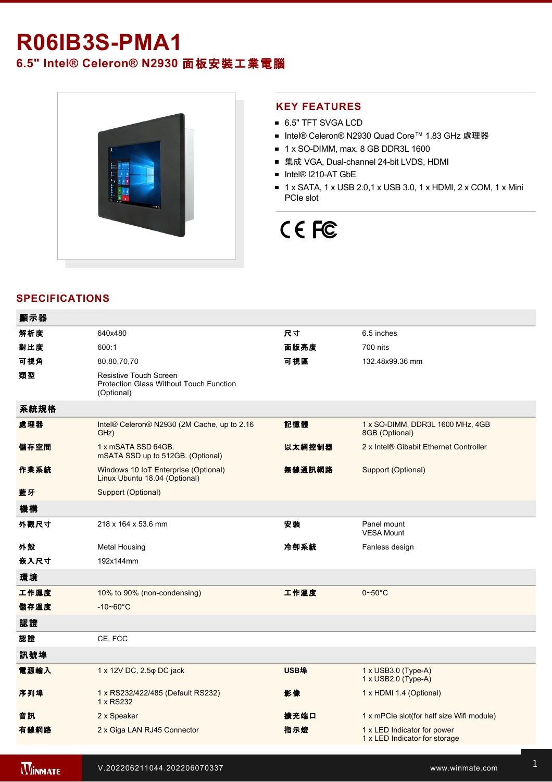## **R06IB3S-PMA1**

### **6.5" Intel® Celeron® N2930** 面板安裝工業電腦



### **KEY FEATURES**

- 6.5" TFT SVGA LCD
- Intel® Celeron® N2930 Quad Core™ 1.83 GHz 處理器
- $\blacksquare$  1 x SO-DIMM, max. 8 GB DDR3L 1600
- 集成 VGA, Dual-channel 24-bit LVDS, HDMI
- Intel® I210-AT GbE
- $\blacksquare$  1 x SATA, 1 x USB 2.0, 1 x USB 3.0, 1 x HDMI, 2 x COM, 1 x Mini PCIe slot

# CE FC

### **SPECIFICATIONS**

| 顯示器  |                                                                                               |             |                                                              |
|------|-----------------------------------------------------------------------------------------------|-------------|--------------------------------------------------------------|
| 解析度  | 640x480                                                                                       | 尺寸          | 6.5 inches                                                   |
| 對比度  | 600:1                                                                                         | 面版亮度        | 700 nits                                                     |
| 可視角  | 80,80,70,70                                                                                   | 可視區         | 132.48x99.36 mm                                              |
| 類型   | <b>Resistive Touch Screen</b><br><b>Protection Glass Without Touch Function</b><br>(Optional) |             |                                                              |
| 系統規格 |                                                                                               |             |                                                              |
| 處理器  | Intel® Celeron® N2930 (2M Cache, up to 2.16<br>GHz)                                           | 記憶體         | 1 x SO-DIMM, DDR3L 1600 MHz, 4GB<br>8GB (Optional)           |
| 儲存空間 | 1 x mSATA SSD 64GB.<br>mSATA SSD up to 512GB. (Optional)                                      | 以太網控制器      | 2 x Intel® Gibabit Ethernet Controller                       |
| 作業系統 | Windows 10 IoT Enterprise (Optional)<br>Linux Ubuntu 18.04 (Optional)                         | 無線通訊網路      | Support (Optional)                                           |
| 藍牙   | Support (Optional)                                                                            |             |                                                              |
| 機構   |                                                                                               |             |                                                              |
| 外觀尺寸 | 218 x 164 x 53.6 mm                                                                           | 安装          | Panel mount<br><b>VESA Mount</b>                             |
| 外殼   | <b>Metal Housing</b>                                                                          | 冷卻系統        | Fanless design                                               |
| 嵌入尺寸 | 192x144mm                                                                                     |             |                                                              |
| 環境   |                                                                                               |             |                                                              |
| 工作濕度 | 10% to 90% (non-condensing)                                                                   | 工作溫度        | $0\nthicksim50^{\circ}$ C                                    |
| 儲存溫度 | $-10 - 60^{\circ}C$                                                                           |             |                                                              |
| 認證   |                                                                                               |             |                                                              |
| 認證   | CE, FCC                                                                                       |             |                                                              |
| 訊號埠  |                                                                                               |             |                                                              |
| 電源輸入 | 1 x 12V DC, 2.5 $\varphi$ DC jack                                                             | <b>USB埠</b> | 1 x USB3.0 (Type-A)<br>1 x USB2.0 (Type-A)                   |
| 序列埠  | 1 x RS232/422/485 (Default RS232)<br>1 x RS232                                                | 影像          | 1 x HDMI 1.4 (Optional)                                      |
| 音訊   | 2 x Speaker                                                                                   | 擴充端口        | 1 x mPCle slot(for half size Wifi module)                    |
| 有線網路 | 2 x Giga LAN RJ45 Connector                                                                   | 指示燈         | 1 x LED Indicator for power<br>1 x LED Indicator for storage |
|      |                                                                                               |             |                                                              |

**WINMATE**